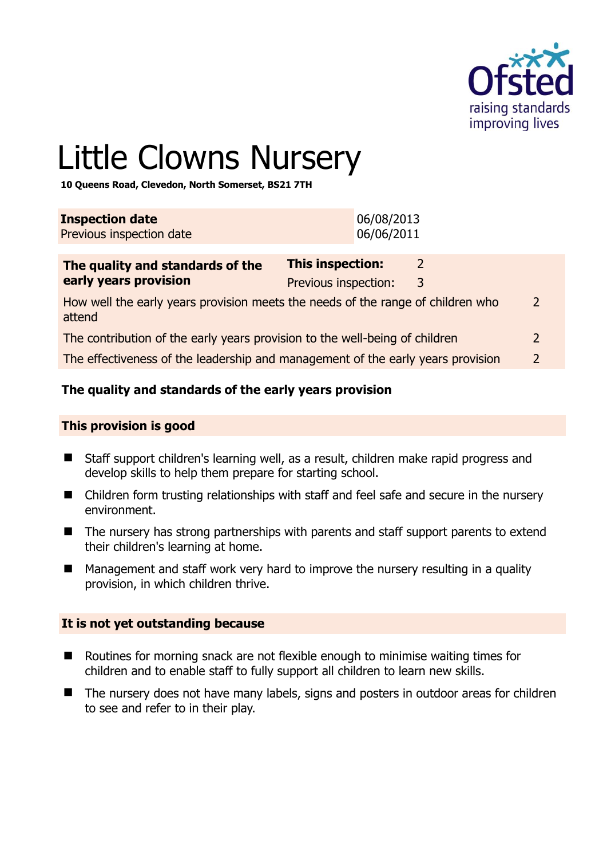

# Little Clowns Nursery

**10 Queens Road, Clevedon, North Somerset, BS21 7TH** 

| <b>Inspection date</b><br>Previous inspection date                                        |                                                 | 06/08/2013<br>06/06/2011 |        |                |
|-------------------------------------------------------------------------------------------|-------------------------------------------------|--------------------------|--------|----------------|
| The quality and standards of the<br>early years provision                                 | <b>This inspection:</b><br>Previous inspection: |                          | 2<br>3 |                |
| How well the early years provision meets the needs of the range of children who<br>attend |                                                 |                          |        |                |
| The contribution of the early years provision to the well-being of children               |                                                 |                          |        | $\overline{2}$ |
| The effectiveness of the leadership and management of the early years provision           |                                                 |                          |        |                |
|                                                                                           |                                                 |                          |        |                |

# **The quality and standards of the early years provision**

#### **This provision is good**

- Staff support children's learning well, as a result, children make rapid progress and develop skills to help them prepare for starting school.
- Children form trusting relationships with staff and feel safe and secure in the nursery environment.
- The nursery has strong partnerships with parents and staff support parents to extend their children's learning at home.
- $\blacksquare$  Management and staff work very hard to improve the nursery resulting in a quality provision, in which children thrive.

#### **It is not yet outstanding because**

- Routines for morning snack are not flexible enough to minimise waiting times for children and to enable staff to fully support all children to learn new skills.
- The nursery does not have many labels, signs and posters in outdoor areas for children to see and refer to in their play.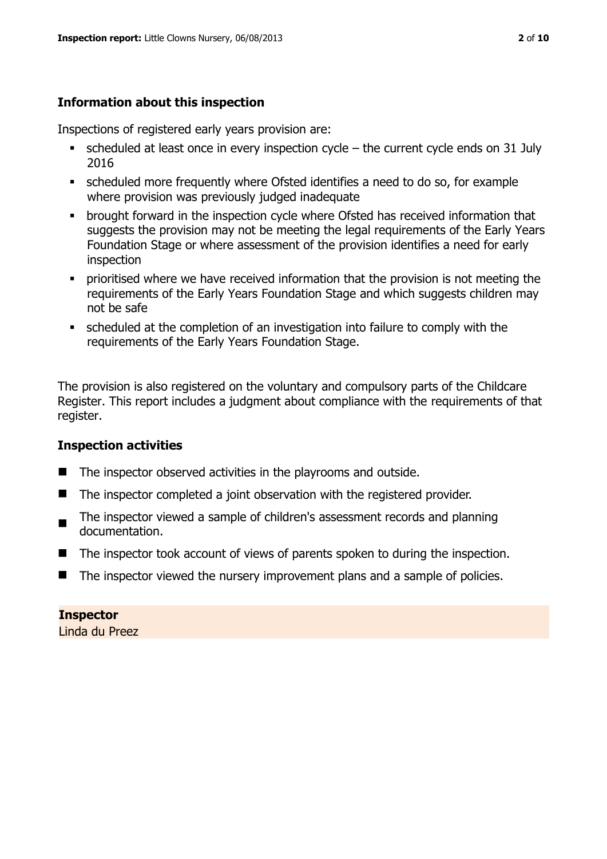# **Information about this inspection**

Inspections of registered early years provision are:

- scheduled at least once in every inspection cycle the current cycle ends on 31 July 2016
- scheduled more frequently where Ofsted identifies a need to do so, for example where provision was previously judged inadequate
- **•** brought forward in the inspection cycle where Ofsted has received information that suggests the provision may not be meeting the legal requirements of the Early Years Foundation Stage or where assessment of the provision identifies a need for early inspection
- **•** prioritised where we have received information that the provision is not meeting the requirements of the Early Years Foundation Stage and which suggests children may not be safe
- scheduled at the completion of an investigation into failure to comply with the requirements of the Early Years Foundation Stage.

The provision is also registered on the voluntary and compulsory parts of the Childcare Register. This report includes a judgment about compliance with the requirements of that register.

# **Inspection activities**

- The inspector observed activities in the playrooms and outside.
- The inspector completed a joint observation with the registered provider.
- The inspector viewed a sample of children's assessment records and planning documentation.
- The inspector took account of views of parents spoken to during the inspection.
- The inspector viewed the nursery improvement plans and a sample of policies.

# **Inspector**

Linda du Preez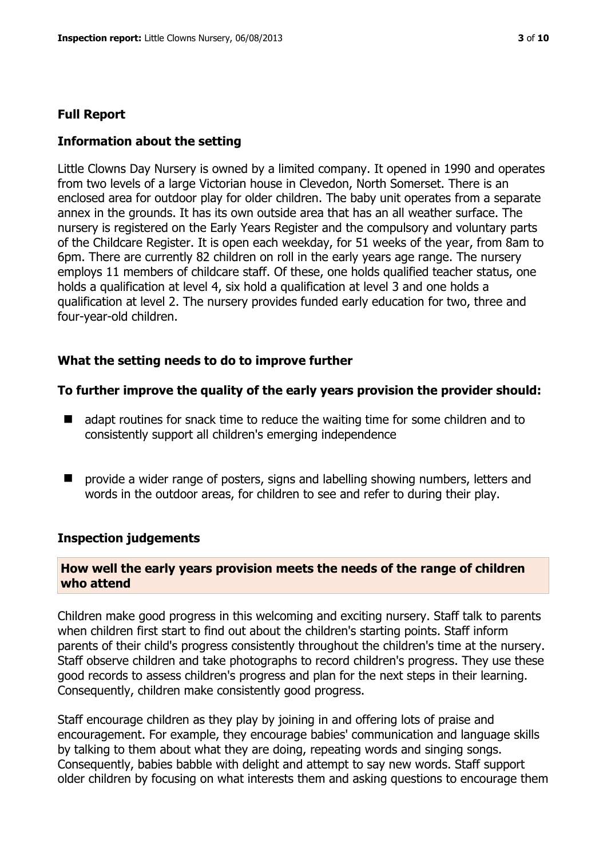#### **Full Report**

#### **Information about the setting**

Little Clowns Day Nursery is owned by a limited company. It opened in 1990 and operates from two levels of a large Victorian house in Clevedon, North Somerset. There is an enclosed area for outdoor play for older children. The baby unit operates from a separate annex in the grounds. It has its own outside area that has an all weather surface. The nursery is registered on the Early Years Register and the compulsory and voluntary parts of the Childcare Register. It is open each weekday, for 51 weeks of the year, from 8am to 6pm. There are currently 82 children on roll in the early years age range. The nursery employs 11 members of childcare staff. Of these, one holds qualified teacher status, one holds a qualification at level 4, six hold a qualification at level 3 and one holds a qualification at level 2. The nursery provides funded early education for two, three and four-year-old children.

#### **What the setting needs to do to improve further**

#### **To further improve the quality of the early years provision the provider should:**

- adapt routines for snack time to reduce the waiting time for some children and to consistently support all children's emerging independence
- $\blacksquare$  provide a wider range of posters, signs and labelling showing numbers, letters and words in the outdoor areas, for children to see and refer to during their play.

#### **Inspection judgements**

#### **How well the early years provision meets the needs of the range of children who attend**

Children make good progress in this welcoming and exciting nursery. Staff talk to parents when children first start to find out about the children's starting points. Staff inform parents of their child's progress consistently throughout the children's time at the nursery. Staff observe children and take photographs to record children's progress. They use these good records to assess children's progress and plan for the next steps in their learning. Consequently, children make consistently good progress.

Staff encourage children as they play by joining in and offering lots of praise and encouragement. For example, they encourage babies' communication and language skills by talking to them about what they are doing, repeating words and singing songs. Consequently, babies babble with delight and attempt to say new words. Staff support older children by focusing on what interests them and asking questions to encourage them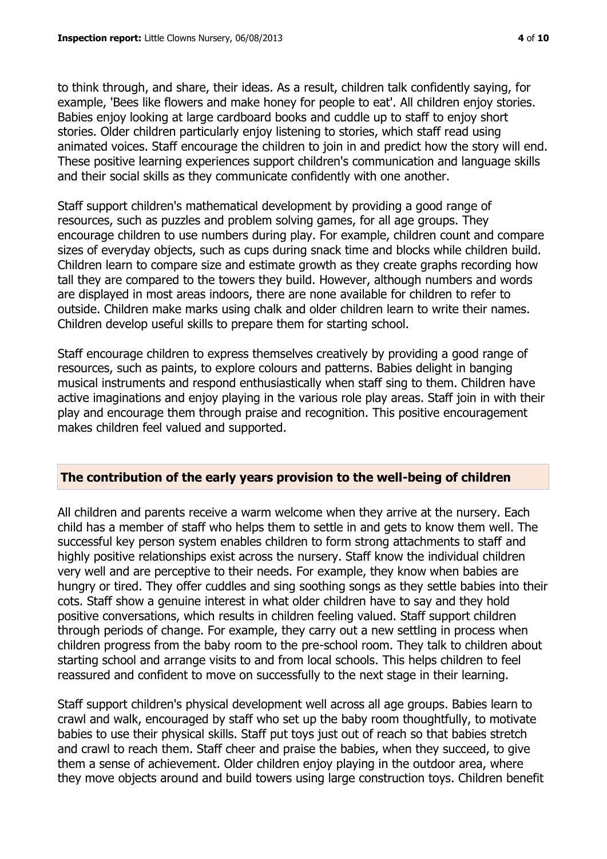to think through, and share, their ideas. As a result, children talk confidently saying, for example, 'Bees like flowers and make honey for people to eat'. All children enjoy stories. Babies enjoy looking at large cardboard books and cuddle up to staff to enjoy short stories. Older children particularly enjoy listening to stories, which staff read using animated voices. Staff encourage the children to join in and predict how the story will end. These positive learning experiences support children's communication and language skills and their social skills as they communicate confidently with one another.

Staff support children's mathematical development by providing a good range of resources, such as puzzles and problem solving games, for all age groups. They encourage children to use numbers during play. For example, children count and compare sizes of everyday objects, such as cups during snack time and blocks while children build. Children learn to compare size and estimate growth as they create graphs recording how tall they are compared to the towers they build. However, although numbers and words are displayed in most areas indoors, there are none available for children to refer to outside. Children make marks using chalk and older children learn to write their names. Children develop useful skills to prepare them for starting school.

Staff encourage children to express themselves creatively by providing a good range of resources, such as paints, to explore colours and patterns. Babies delight in banging musical instruments and respond enthusiastically when staff sing to them. Children have active imaginations and enjoy playing in the various role play areas. Staff join in with their play and encourage them through praise and recognition. This positive encouragement makes children feel valued and supported.

# **The contribution of the early years provision to the well-being of children**

All children and parents receive a warm welcome when they arrive at the nursery. Each child has a member of staff who helps them to settle in and gets to know them well. The successful key person system enables children to form strong attachments to staff and highly positive relationships exist across the nursery. Staff know the individual children very well and are perceptive to their needs. For example, they know when babies are hungry or tired. They offer cuddles and sing soothing songs as they settle babies into their cots. Staff show a genuine interest in what older children have to say and they hold positive conversations, which results in children feeling valued. Staff support children through periods of change. For example, they carry out a new settling in process when children progress from the baby room to the pre-school room. They talk to children about starting school and arrange visits to and from local schools. This helps children to feel reassured and confident to move on successfully to the next stage in their learning.

Staff support children's physical development well across all age groups. Babies learn to crawl and walk, encouraged by staff who set up the baby room thoughtfully, to motivate babies to use their physical skills. Staff put toys just out of reach so that babies stretch and crawl to reach them. Staff cheer and praise the babies, when they succeed, to give them a sense of achievement. Older children enjoy playing in the outdoor area, where they move objects around and build towers using large construction toys. Children benefit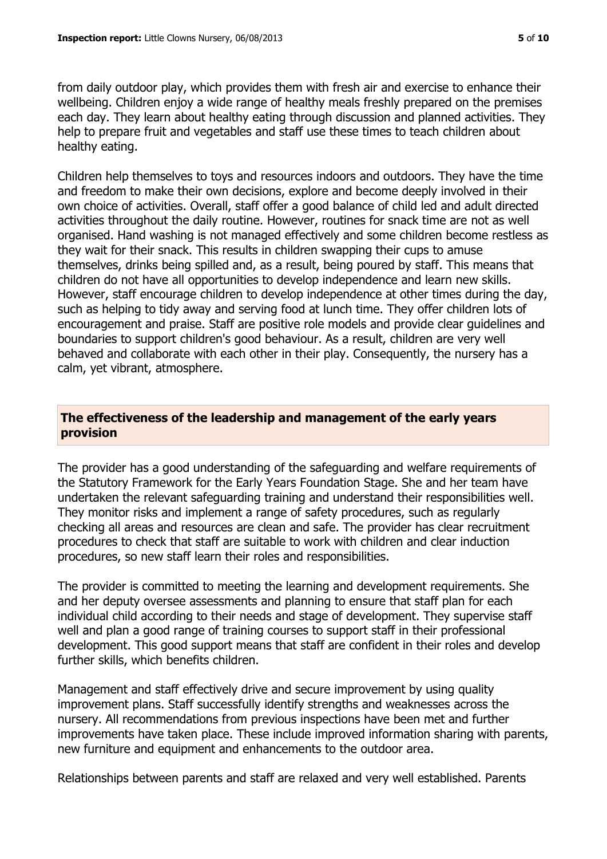from daily outdoor play, which provides them with fresh air and exercise to enhance their wellbeing. Children enjoy a wide range of healthy meals freshly prepared on the premises each day. They learn about healthy eating through discussion and planned activities. They help to prepare fruit and vegetables and staff use these times to teach children about healthy eating.

Children help themselves to toys and resources indoors and outdoors. They have the time and freedom to make their own decisions, explore and become deeply involved in their own choice of activities. Overall, staff offer a good balance of child led and adult directed activities throughout the daily routine. However, routines for snack time are not as well organised. Hand washing is not managed effectively and some children become restless as they wait for their snack. This results in children swapping their cups to amuse themselves, drinks being spilled and, as a result, being poured by staff. This means that children do not have all opportunities to develop independence and learn new skills. However, staff encourage children to develop independence at other times during the day, such as helping to tidy away and serving food at lunch time. They offer children lots of encouragement and praise. Staff are positive role models and provide clear guidelines and boundaries to support children's good behaviour. As a result, children are very well behaved and collaborate with each other in their play. Consequently, the nursery has a calm, yet vibrant, atmosphere.

# **The effectiveness of the leadership and management of the early years provision**

The provider has a good understanding of the safeguarding and welfare requirements of the Statutory Framework for the Early Years Foundation Stage. She and her team have undertaken the relevant safeguarding training and understand their responsibilities well. They monitor risks and implement a range of safety procedures, such as regularly checking all areas and resources are clean and safe. The provider has clear recruitment procedures to check that staff are suitable to work with children and clear induction procedures, so new staff learn their roles and responsibilities.

The provider is committed to meeting the learning and development requirements. She and her deputy oversee assessments and planning to ensure that staff plan for each individual child according to their needs and stage of development. They supervise staff well and plan a good range of training courses to support staff in their professional development. This good support means that staff are confident in their roles and develop further skills, which benefits children.

Management and staff effectively drive and secure improvement by using quality improvement plans. Staff successfully identify strengths and weaknesses across the nursery. All recommendations from previous inspections have been met and further improvements have taken place. These include improved information sharing with parents, new furniture and equipment and enhancements to the outdoor area.

Relationships between parents and staff are relaxed and very well established. Parents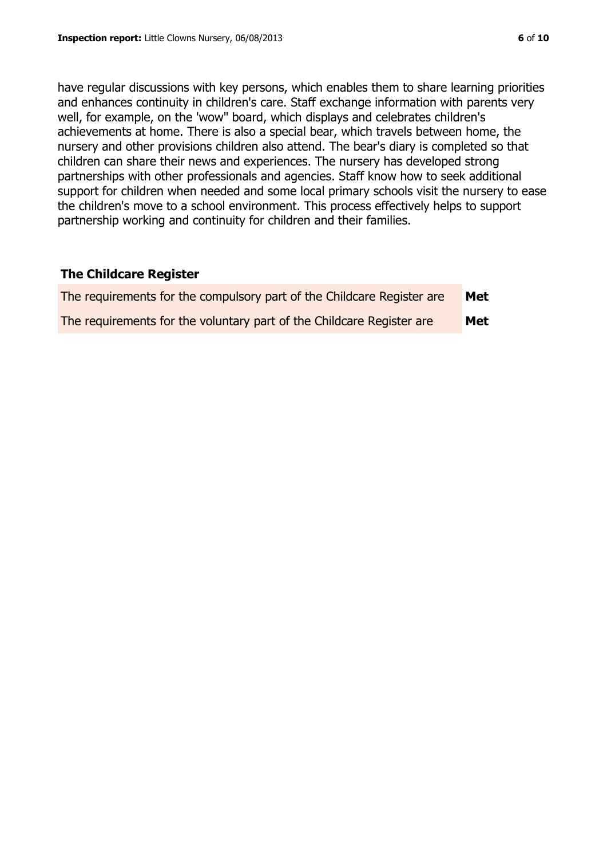have regular discussions with key persons, which enables them to share learning priorities and enhances continuity in children's care. Staff exchange information with parents very well, for example, on the 'wow" board, which displays and celebrates children's achievements at home. There is also a special bear, which travels between home, the nursery and other provisions children also attend. The bear's diary is completed so that children can share their news and experiences. The nursery has developed strong partnerships with other professionals and agencies. Staff know how to seek additional support for children when needed and some local primary schools visit the nursery to ease the children's move to a school environment. This process effectively helps to support partnership working and continuity for children and their families.

#### **The Childcare Register**

| The requirements for the compulsory part of the Childcare Register are | Met |
|------------------------------------------------------------------------|-----|
| The requirements for the voluntary part of the Childcare Register are  | Met |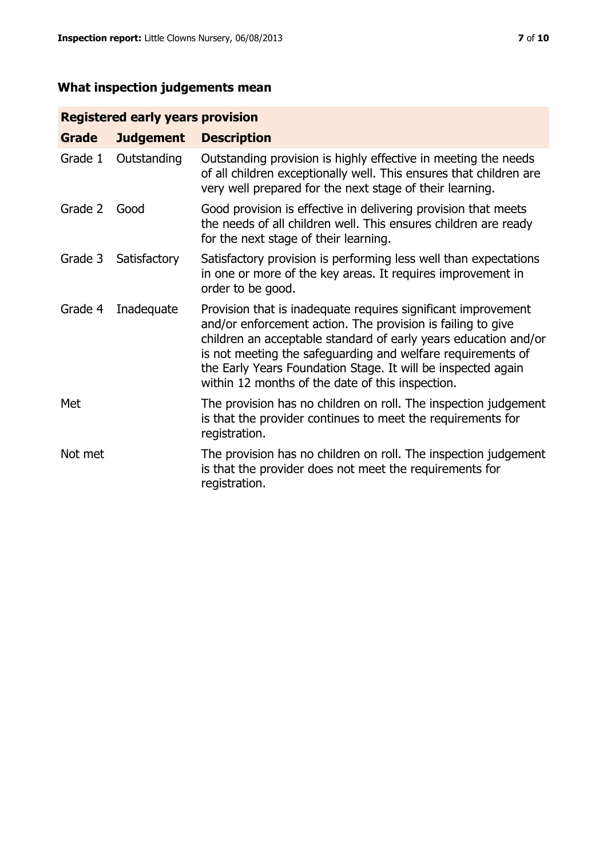# **What inspection judgements mean**

# **Registered early years provision**

| Grade   | <b>Judgement</b> | <b>Description</b>                                                                                                                                                                                                                                                                                                                                                                 |
|---------|------------------|------------------------------------------------------------------------------------------------------------------------------------------------------------------------------------------------------------------------------------------------------------------------------------------------------------------------------------------------------------------------------------|
| Grade 1 | Outstanding      | Outstanding provision is highly effective in meeting the needs<br>of all children exceptionally well. This ensures that children are<br>very well prepared for the next stage of their learning.                                                                                                                                                                                   |
| Grade 2 | Good             | Good provision is effective in delivering provision that meets<br>the needs of all children well. This ensures children are ready<br>for the next stage of their learning.                                                                                                                                                                                                         |
| Grade 3 | Satisfactory     | Satisfactory provision is performing less well than expectations<br>in one or more of the key areas. It requires improvement in<br>order to be good.                                                                                                                                                                                                                               |
| Grade 4 | Inadequate       | Provision that is inadequate requires significant improvement<br>and/or enforcement action. The provision is failing to give<br>children an acceptable standard of early years education and/or<br>is not meeting the safeguarding and welfare requirements of<br>the Early Years Foundation Stage. It will be inspected again<br>within 12 months of the date of this inspection. |
| Met     |                  | The provision has no children on roll. The inspection judgement<br>is that the provider continues to meet the requirements for<br>registration.                                                                                                                                                                                                                                    |
| Not met |                  | The provision has no children on roll. The inspection judgement<br>is that the provider does not meet the requirements for<br>registration.                                                                                                                                                                                                                                        |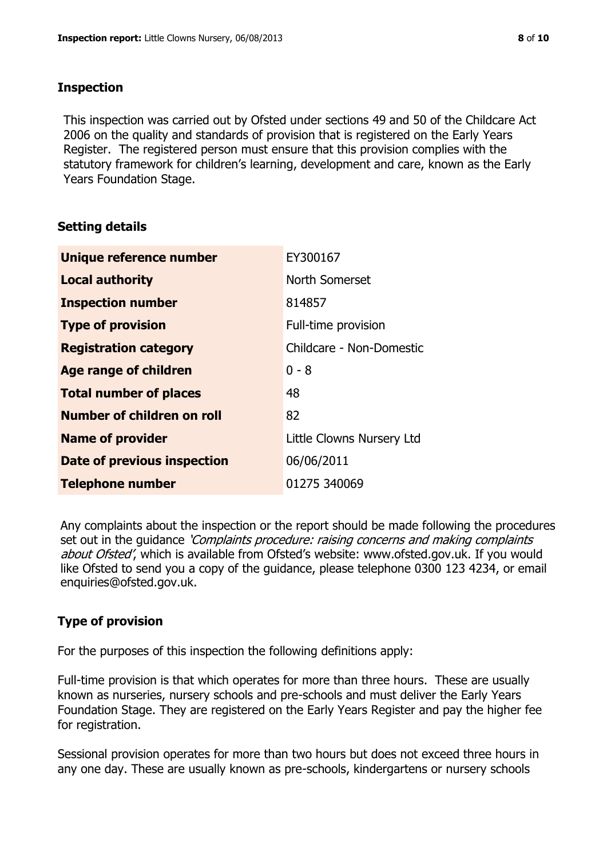#### **Inspection**

This inspection was carried out by Ofsted under sections 49 and 50 of the Childcare Act 2006 on the quality and standards of provision that is registered on the Early Years Register. The registered person must ensure that this provision complies with the statutory framework for children's learning, development and care, known as the Early Years Foundation Stage.

# **Setting details**

| Unique reference number            | EY300167                  |
|------------------------------------|---------------------------|
| <b>Local authority</b>             | North Somerset            |
| <b>Inspection number</b>           | 814857                    |
| <b>Type of provision</b>           | Full-time provision       |
| <b>Registration category</b>       | Childcare - Non-Domestic  |
| <b>Age range of children</b>       | $0 - 8$                   |
| <b>Total number of places</b>      | 48                        |
| Number of children on roll         | 82                        |
| <b>Name of provider</b>            | Little Clowns Nursery Ltd |
| <b>Date of previous inspection</b> | 06/06/2011                |
| <b>Telephone number</b>            | 01275 340069              |

Any complaints about the inspection or the report should be made following the procedures set out in the guidance *'Complaints procedure: raising concerns and making complaints* about Ofsted', which is available from Ofsted's website: www.ofsted.gov.uk. If you would like Ofsted to send you a copy of the guidance, please telephone 0300 123 4234, or email enquiries@ofsted.gov.uk.

# **Type of provision**

For the purposes of this inspection the following definitions apply:

Full-time provision is that which operates for more than three hours. These are usually known as nurseries, nursery schools and pre-schools and must deliver the Early Years Foundation Stage. They are registered on the Early Years Register and pay the higher fee for registration.

Sessional provision operates for more than two hours but does not exceed three hours in any one day. These are usually known as pre-schools, kindergartens or nursery schools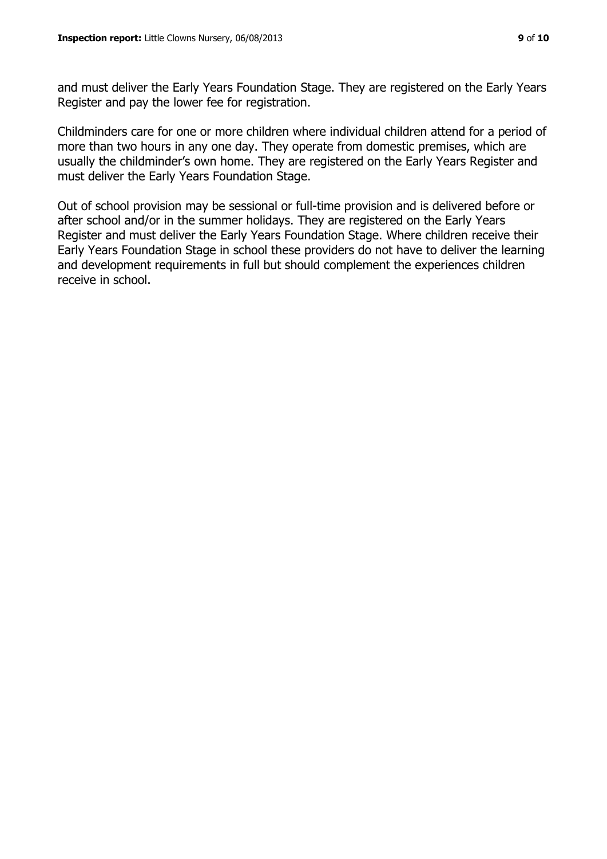and must deliver the Early Years Foundation Stage. They are registered on the Early Years Register and pay the lower fee for registration.

Childminders care for one or more children where individual children attend for a period of more than two hours in any one day. They operate from domestic premises, which are usually the childminder's own home. They are registered on the Early Years Register and must deliver the Early Years Foundation Stage.

Out of school provision may be sessional or full-time provision and is delivered before or after school and/or in the summer holidays. They are registered on the Early Years Register and must deliver the Early Years Foundation Stage. Where children receive their Early Years Foundation Stage in school these providers do not have to deliver the learning and development requirements in full but should complement the experiences children receive in school.